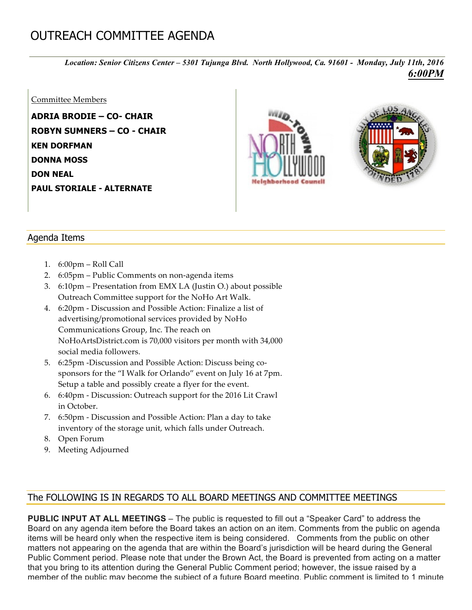## OUTREACH COMMITTEE AGENDA

*Location: Senior Citizens Center – 5301 Tujunga Blvd. North Hollywood, Ca. 91601 - Monday, July 11th, 2016 6:00PM*

## Committee Members

**ADRIA BRODIE – CO- CHAIR ROBYN SUMNERS – CO - CHAIR KEN DORFMAN DONNA MOSS DON NEAL PAUL STORIALE - ALTERNATE**





## Agenda Items

- 1. 6:00pm Roll Call
- 2. 6:05pm Public Comments on non-agenda items
- 3. 6:10pm Presentation from EMX LA (Justin O.) about possible Outreach Committee support for the NoHo Art Walk.
- 4. 6:20pm Discussion and Possible Action: Finalize a list of advertising/promotional services provided by NoHo Communications Group, Inc. The reach on NoHoArtsDistrict.com is 70,000 visitors per month with 34,000 social media followers.
- 5. 6:25pm -Discussion and Possible Action: Discuss being cosponsors for the "I Walk for Orlando" event on July 16 at 7pm. Setup a table and possibly create a flyer for the event.
- 6. 6:40pm Discussion: Outreach support for the 2016 Lit Crawl in October.
- 7. 6:50pm Discussion and Possible Action: Plan a day to take inventory of the storage unit, which falls under Outreach.
- 8. Open Forum
- 9. Meeting Adjourned

## The FOLLOWING IS IN REGARDS TO ALL BOARD MEETINGS AND COMMITTEE MEETINGS

**PUBLIC INPUT AT ALL MEETINGS** – The public is requested to fill out a "Speaker Card" to address the Board on any agenda item before the Board takes an action on an item. Comments from the public on agenda items will be heard only when the respective item is being considered. Comments from the public on other matters not appearing on the agenda that are within the Board's jurisdiction will be heard during the General Public Comment period. Please note that under the Brown Act, the Board is prevented from acting on a matter that you bring to its attention during the General Public Comment period; however, the issue raised by a member of the public may become the subject of a future Board meeting. Public comment is limited to 1 minute